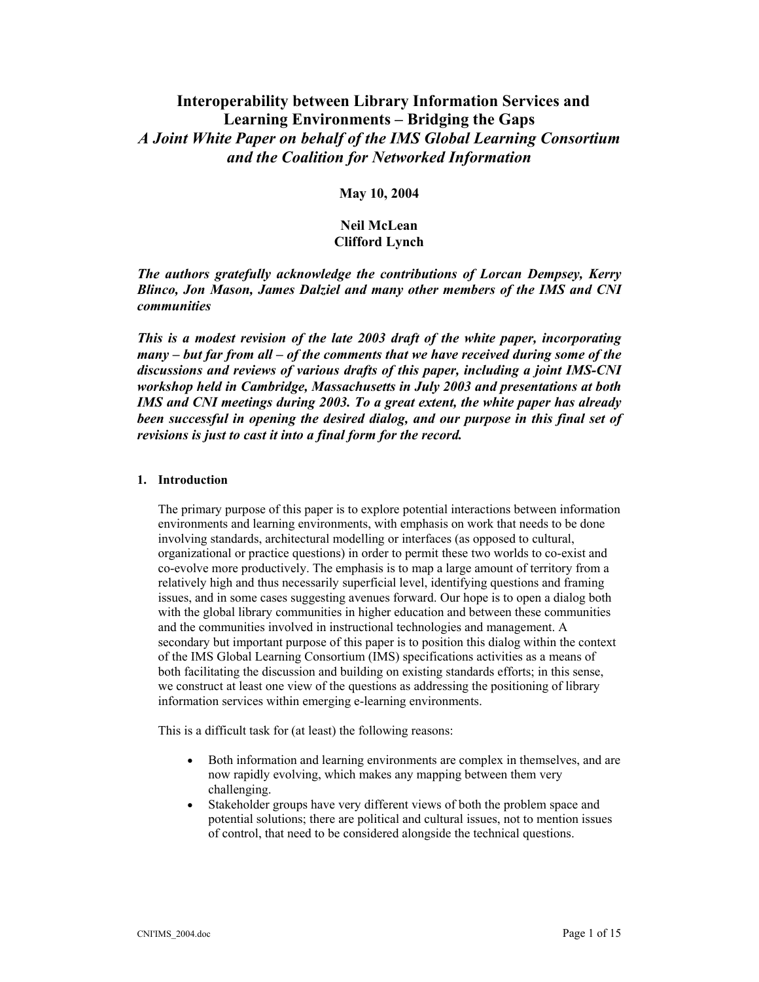# **Interoperability between Library Information Services and Learning Environments – Bridging the Gaps**  *A Joint White Paper on behalf of the IMS Global Learning Consortium and the Coalition for Networked Information*

# **May 10, 2004**

# **Neil McLean Clifford Lynch**

*The authors gratefully acknowledge the contributions of Lorcan Dempsey, Kerry Blinco, Jon Mason, James Dalziel and many other members of the IMS and CNI communities* 

*This is a modest revision of the late 2003 draft of the white paper, incorporating many – but far from all – of the comments that we have received during some of the discussions and reviews of various drafts of this paper, including a joint IMS-CNI workshop held in Cambridge, Massachusetts in July 2003 and presentations at both IMS and CNI meetings during 2003. To a great extent, the white paper has already been successful in opening the desired dialog, and our purpose in this final set of revisions is just to cast it into a final form for the record.* 

#### **1. Introduction**

The primary purpose of this paper is to explore potential interactions between information environments and learning environments, with emphasis on work that needs to be done involving standards, architectural modelling or interfaces (as opposed to cultural, organizational or practice questions) in order to permit these two worlds to co-exist and co-evolve more productively. The emphasis is to map a large amount of territory from a relatively high and thus necessarily superficial level, identifying questions and framing issues, and in some cases suggesting avenues forward. Our hope is to open a dialog both with the global library communities in higher education and between these communities and the communities involved in instructional technologies and management. A secondary but important purpose of this paper is to position this dialog within the context of the IMS Global Learning Consortium (IMS) specifications activities as a means of both facilitating the discussion and building on existing standards efforts; in this sense, we construct at least one view of the questions as addressing the positioning of library information services within emerging e-learning environments.

This is a difficult task for (at least) the following reasons:

- Both information and learning environments are complex in themselves, and are now rapidly evolving, which makes any mapping between them very challenging.
- Stakeholder groups have very different views of both the problem space and potential solutions; there are political and cultural issues, not to mention issues of control, that need to be considered alongside the technical questions.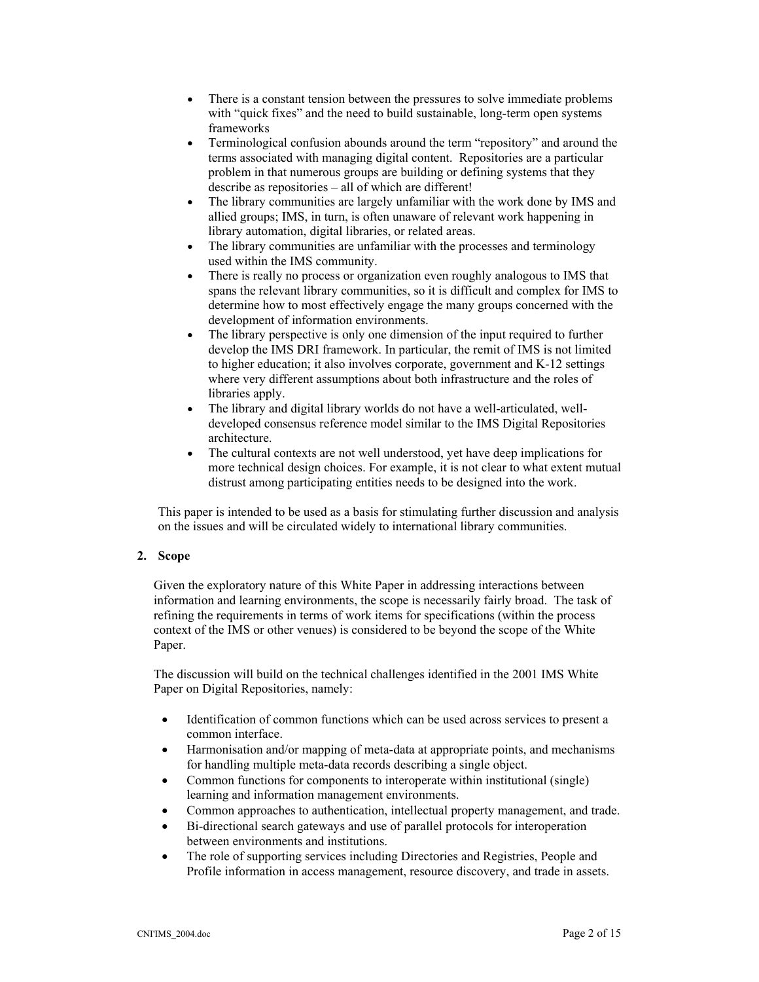- There is a constant tension between the pressures to solve immediate problems with "quick fixes" and the need to build sustainable, long-term open systems frameworks
- Terminological confusion abounds around the term "repository" and around the terms associated with managing digital content. Repositories are a particular problem in that numerous groups are building or defining systems that they describe as repositories – all of which are different!
- The library communities are largely unfamiliar with the work done by IMS and allied groups; IMS, in turn, is often unaware of relevant work happening in library automation, digital libraries, or related areas.
- The library communities are unfamiliar with the processes and terminology used within the IMS community.
- There is really no process or organization even roughly analogous to IMS that spans the relevant library communities, so it is difficult and complex for IMS to determine how to most effectively engage the many groups concerned with the development of information environments.
- The library perspective is only one dimension of the input required to further develop the IMS DRI framework. In particular, the remit of IMS is not limited to higher education; it also involves corporate, government and K-12 settings where very different assumptions about both infrastructure and the roles of libraries apply.
- The library and digital library worlds do not have a well-articulated, welldeveloped consensus reference model similar to the IMS Digital Repositories architecture.
- The cultural contexts are not well understood, yet have deep implications for more technical design choices. For example, it is not clear to what extent mutual distrust among participating entities needs to be designed into the work.

This paper is intended to be used as a basis for stimulating further discussion and analysis on the issues and will be circulated widely to international library communities.

## **2. Scope**

Given the exploratory nature of this White Paper in addressing interactions between information and learning environments, the scope is necessarily fairly broad. The task of refining the requirements in terms of work items for specifications (within the process context of the IMS or other venues) is considered to be beyond the scope of the White Paper.

The discussion will build on the technical challenges identified in the 2001 IMS White Paper on Digital Repositories, namely:

- Identification of common functions which can be used across services to present a common interface.
- Harmonisation and/or mapping of meta-data at appropriate points, and mechanisms for handling multiple meta-data records describing a single object.
- Common functions for components to interoperate within institutional (single) learning and information management environments.
- Common approaches to authentication, intellectual property management, and trade.
- Bi-directional search gateways and use of parallel protocols for interoperation between environments and institutions.
- The role of supporting services including Directories and Registries, People and Profile information in access management, resource discovery, and trade in assets.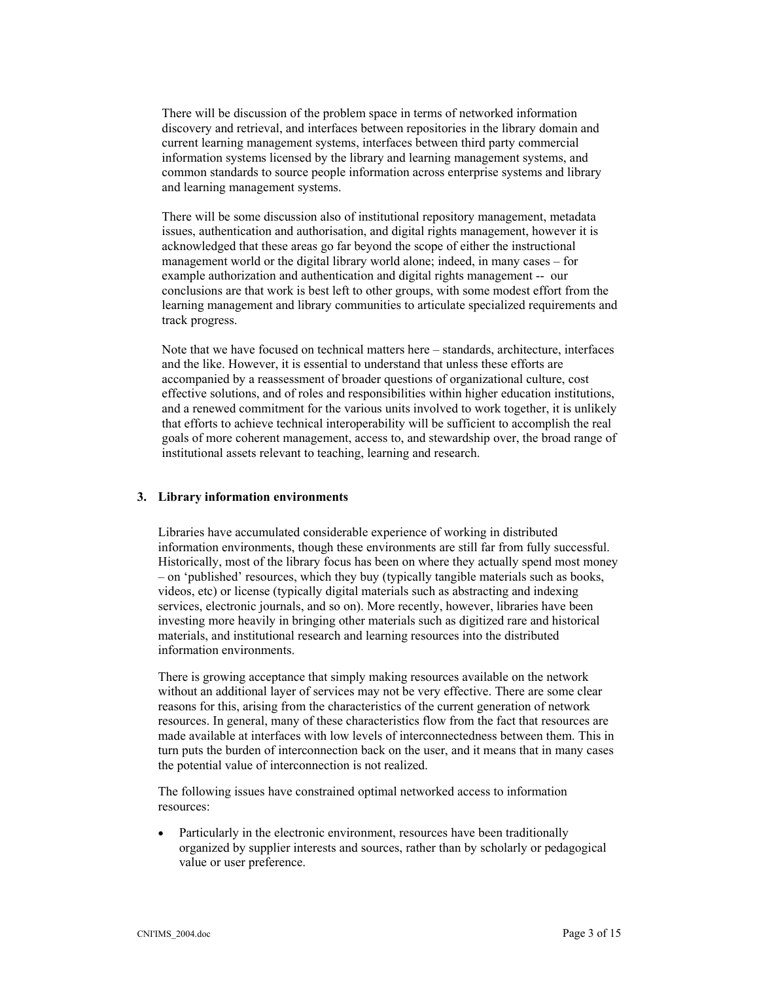There will be discussion of the problem space in terms of networked information discovery and retrieval, and interfaces between repositories in the library domain and current learning management systems, interfaces between third party commercial information systems licensed by the library and learning management systems, and common standards to source people information across enterprise systems and library and learning management systems.

There will be some discussion also of institutional repository management, metadata issues, authentication and authorisation, and digital rights management, however it is acknowledged that these areas go far beyond the scope of either the instructional management world or the digital library world alone; indeed, in many cases – for example authorization and authentication and digital rights management -- our conclusions are that work is best left to other groups, with some modest effort from the learning management and library communities to articulate specialized requirements and track progress.

Note that we have focused on technical matters here – standards, architecture, interfaces and the like. However, it is essential to understand that unless these efforts are accompanied by a reassessment of broader questions of organizational culture, cost effective solutions, and of roles and responsibilities within higher education institutions, and a renewed commitment for the various units involved to work together, it is unlikely that efforts to achieve technical interoperability will be sufficient to accomplish the real goals of more coherent management, access to, and stewardship over, the broad range of institutional assets relevant to teaching, learning and research.

#### **3. Library information environments**

Libraries have accumulated considerable experience of working in distributed information environments, though these environments are still far from fully successful. Historically, most of the library focus has been on where they actually spend most money – on 'published' resources, which they buy (typically tangible materials such as books, videos, etc) or license (typically digital materials such as abstracting and indexing services, electronic journals, and so on). More recently, however, libraries have been investing more heavily in bringing other materials such as digitized rare and historical materials, and institutional research and learning resources into the distributed information environments.

There is growing acceptance that simply making resources available on the network without an additional layer of services may not be very effective. There are some clear reasons for this, arising from the characteristics of the current generation of network resources. In general, many of these characteristics flow from the fact that resources are made available at interfaces with low levels of interconnectedness between them. This in turn puts the burden of interconnection back on the user, and it means that in many cases the potential value of interconnection is not realized.

The following issues have constrained optimal networked access to information resources:

• Particularly in the electronic environment, resources have been traditionally organized by supplier interests and sources, rather than by scholarly or pedagogical value or user preference.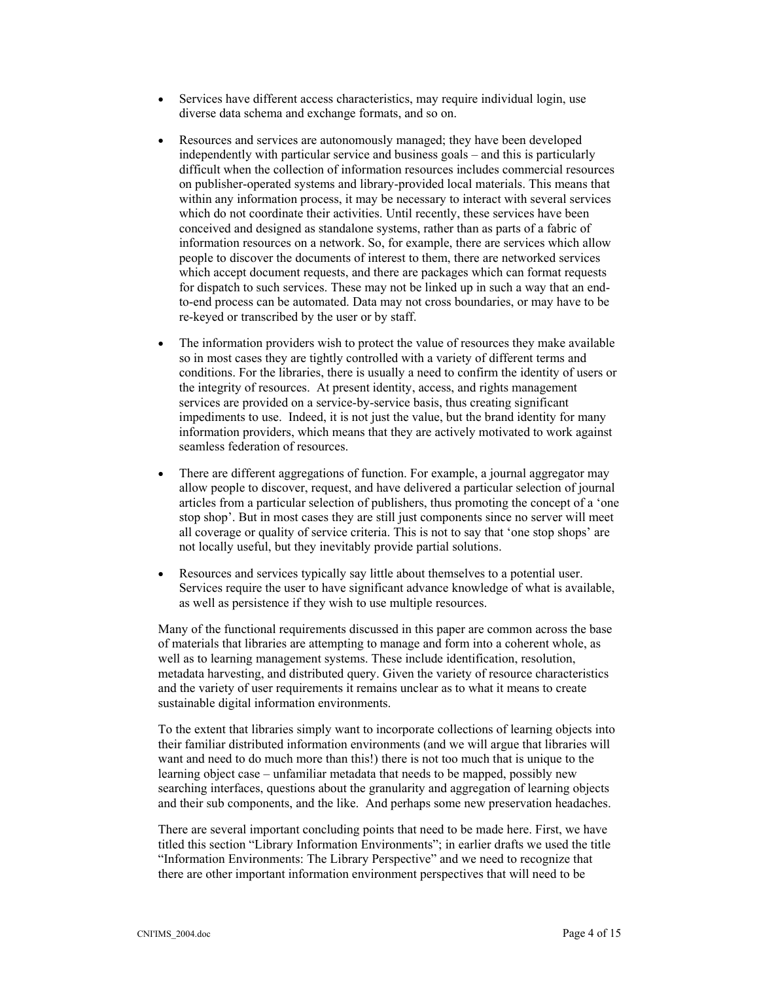- Services have different access characteristics, may require individual login, use diverse data schema and exchange formats, and so on.
- Resources and services are autonomously managed; they have been developed independently with particular service and business goals – and this is particularly difficult when the collection of information resources includes commercial resources on publisher-operated systems and library-provided local materials. This means that within any information process, it may be necessary to interact with several services which do not coordinate their activities. Until recently, these services have been conceived and designed as standalone systems, rather than as parts of a fabric of information resources on a network. So, for example, there are services which allow people to discover the documents of interest to them, there are networked services which accept document requests, and there are packages which can format requests for dispatch to such services. These may not be linked up in such a way that an endto-end process can be automated. Data may not cross boundaries, or may have to be re-keyed or transcribed by the user or by staff.
- The information providers wish to protect the value of resources they make available so in most cases they are tightly controlled with a variety of different terms and conditions. For the libraries, there is usually a need to confirm the identity of users or the integrity of resources. At present identity, access, and rights management services are provided on a service-by-service basis, thus creating significant impediments to use. Indeed, it is not just the value, but the brand identity for many information providers, which means that they are actively motivated to work against seamless federation of resources.
- There are different aggregations of function. For example, a journal aggregator may allow people to discover, request, and have delivered a particular selection of journal articles from a particular selection of publishers, thus promoting the concept of a 'one stop shop'. But in most cases they are still just components since no server will meet all coverage or quality of service criteria. This is not to say that 'one stop shops' are not locally useful, but they inevitably provide partial solutions.
- Resources and services typically say little about themselves to a potential user. Services require the user to have significant advance knowledge of what is available, as well as persistence if they wish to use multiple resources.

Many of the functional requirements discussed in this paper are common across the base of materials that libraries are attempting to manage and form into a coherent whole, as well as to learning management systems. These include identification, resolution, metadata harvesting, and distributed query. Given the variety of resource characteristics and the variety of user requirements it remains unclear as to what it means to create sustainable digital information environments.

To the extent that libraries simply want to incorporate collections of learning objects into their familiar distributed information environments (and we will argue that libraries will want and need to do much more than this!) there is not too much that is unique to the learning object case – unfamiliar metadata that needs to be mapped, possibly new searching interfaces, questions about the granularity and aggregation of learning objects and their sub components, and the like. And perhaps some new preservation headaches.

There are several important concluding points that need to be made here. First, we have titled this section "Library Information Environments"; in earlier drafts we used the title "Information Environments: The Library Perspective" and we need to recognize that there are other important information environment perspectives that will need to be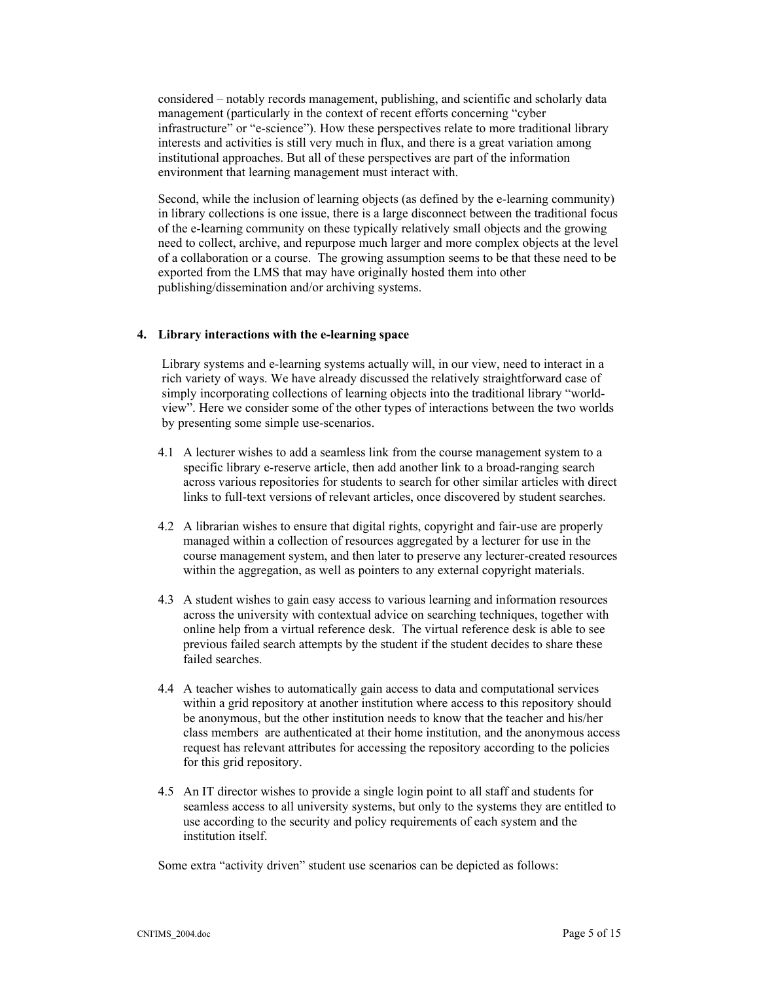considered – notably records management, publishing, and scientific and scholarly data management (particularly in the context of recent efforts concerning "cyber infrastructure" or "e-science"). How these perspectives relate to more traditional library interests and activities is still very much in flux, and there is a great variation among institutional approaches. But all of these perspectives are part of the information environment that learning management must interact with.

Second, while the inclusion of learning objects (as defined by the e-learning community) in library collections is one issue, there is a large disconnect between the traditional focus of the e-learning community on these typically relatively small objects and the growing need to collect, archive, and repurpose much larger and more complex objects at the level of a collaboration or a course. The growing assumption seems to be that these need to be exported from the LMS that may have originally hosted them into other publishing/dissemination and/or archiving systems.

## **4. Library interactions with the e-learning space**

Library systems and e-learning systems actually will, in our view, need to interact in a rich variety of ways. We have already discussed the relatively straightforward case of simply incorporating collections of learning objects into the traditional library "worldview". Here we consider some of the other types of interactions between the two worlds by presenting some simple use-scenarios.

- 4.1 A lecturer wishes to add a seamless link from the course management system to a specific library e-reserve article, then add another link to a broad-ranging search across various repositories for students to search for other similar articles with direct links to full-text versions of relevant articles, once discovered by student searches.
- 4.2 A librarian wishes to ensure that digital rights, copyright and fair-use are properly managed within a collection of resources aggregated by a lecturer for use in the course management system, and then later to preserve any lecturer-created resources within the aggregation, as well as pointers to any external copyright materials.
- 4.3 A student wishes to gain easy access to various learning and information resources across the university with contextual advice on searching techniques, together with online help from a virtual reference desk. The virtual reference desk is able to see previous failed search attempts by the student if the student decides to share these failed searches.
- 4.4 A teacher wishes to automatically gain access to data and computational services within a grid repository at another institution where access to this repository should be anonymous, but the other institution needs to know that the teacher and his/her class members are authenticated at their home institution, and the anonymous access request has relevant attributes for accessing the repository according to the policies for this grid repository.
- 4.5 An IT director wishes to provide a single login point to all staff and students for seamless access to all university systems, but only to the systems they are entitled to use according to the security and policy requirements of each system and the institution itself.

Some extra "activity driven" student use scenarios can be depicted as follows: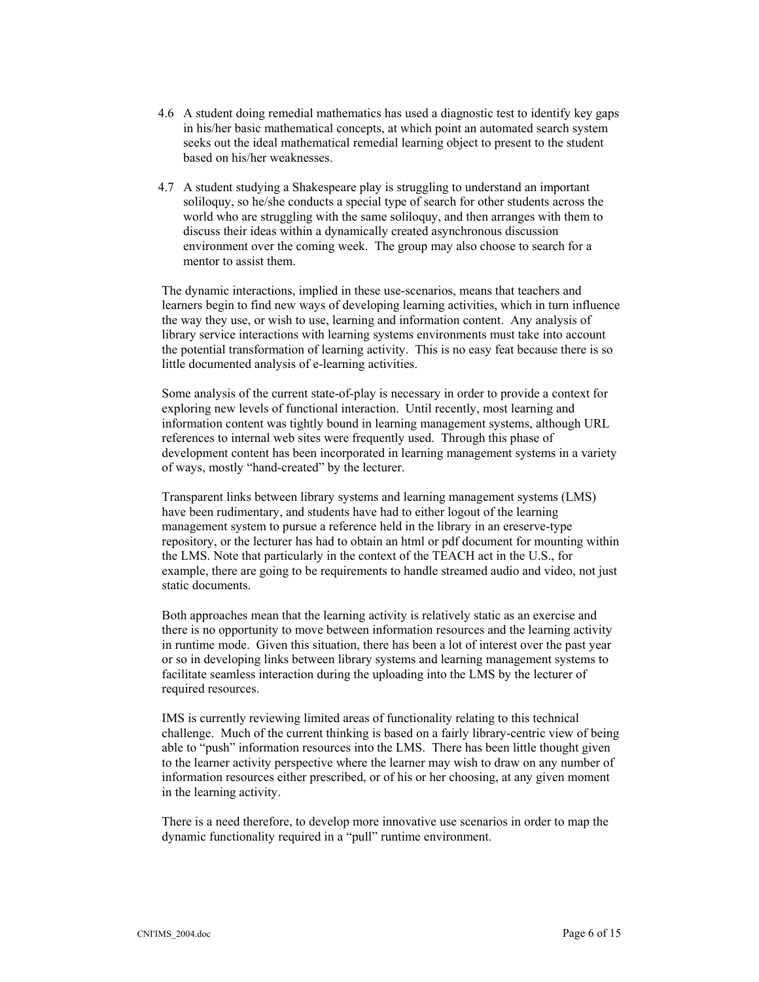- 4.6 A student doing remedial mathematics has used a diagnostic test to identify key gaps in his/her basic mathematical concepts, at which point an automated search system seeks out the ideal mathematical remedial learning object to present to the student based on his/her weaknesses.
- 4.7 A student studying a Shakespeare play is struggling to understand an important soliloquy, so he/she conducts a special type of search for other students across the world who are struggling with the same soliloquy, and then arranges with them to discuss their ideas within a dynamically created asynchronous discussion environment over the coming week. The group may also choose to search for a mentor to assist them.

The dynamic interactions, implied in these use-scenarios, means that teachers and learners begin to find new ways of developing learning activities, which in turn influence the way they use, or wish to use, learning and information content. Any analysis of library service interactions with learning systems environments must take into account the potential transformation of learning activity. This is no easy feat because there is so little documented analysis of e-learning activities.

Some analysis of the current state-of-play is necessary in order to provide a context for exploring new levels of functional interaction. Until recently, most learning and information content was tightly bound in learning management systems, although URL references to internal web sites were frequently used. Through this phase of development content has been incorporated in learning management systems in a variety of ways, mostly "hand-created" by the lecturer.

Transparent links between library systems and learning management systems (LMS) have been rudimentary, and students have had to either logout of the learning management system to pursue a reference held in the library in an ereserve-type repository, or the lecturer has had to obtain an html or pdf document for mounting within the LMS. Note that particularly in the context of the TEACH act in the U.S., for example, there are going to be requirements to handle streamed audio and video, not just static documents.

Both approaches mean that the learning activity is relatively static as an exercise and there is no opportunity to move between information resources and the learning activity in runtime mode. Given this situation, there has been a lot of interest over the past year or so in developing links between library systems and learning management systems to facilitate seamless interaction during the uploading into the LMS by the lecturer of required resources.

IMS is currently reviewing limited areas of functionality relating to this technical challenge. Much of the current thinking is based on a fairly library-centric view of being able to "push" information resources into the LMS. There has been little thought given to the learner activity perspective where the learner may wish to draw on any number of information resources either prescribed, or of his or her choosing, at any given moment in the learning activity.

There is a need therefore, to develop more innovative use scenarios in order to map the dynamic functionality required in a "pull" runtime environment.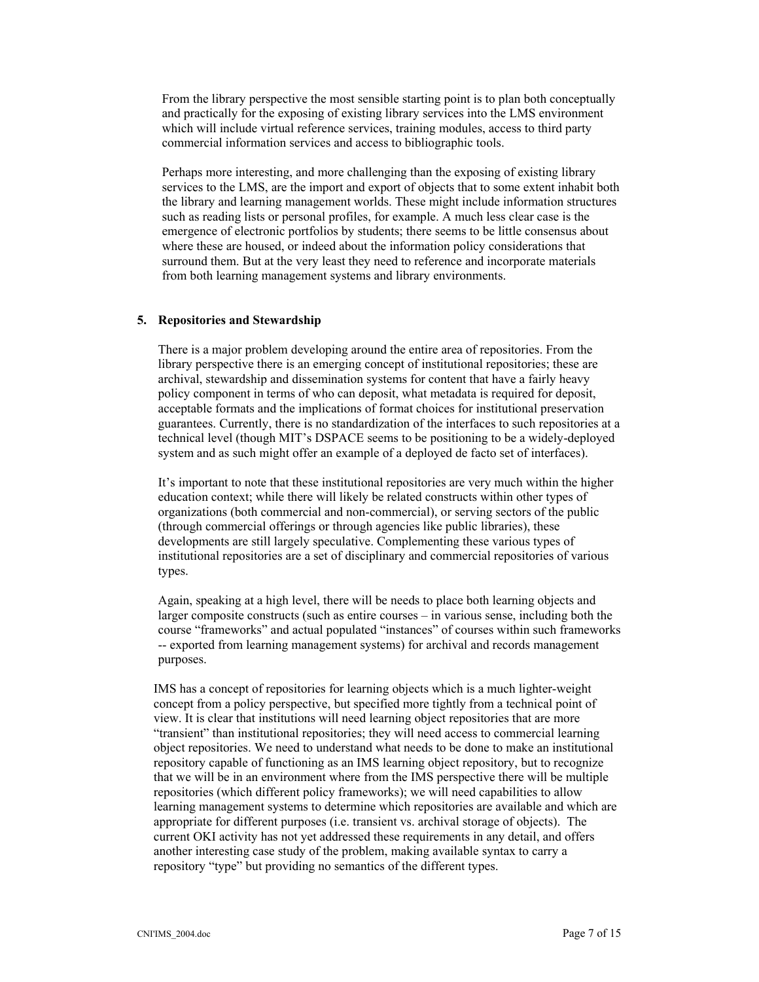From the library perspective the most sensible starting point is to plan both conceptually and practically for the exposing of existing library services into the LMS environment which will include virtual reference services, training modules, access to third party commercial information services and access to bibliographic tools.

Perhaps more interesting, and more challenging than the exposing of existing library services to the LMS, are the import and export of objects that to some extent inhabit both the library and learning management worlds. These might include information structures such as reading lists or personal profiles, for example. A much less clear case is the emergence of electronic portfolios by students; there seems to be little consensus about where these are housed, or indeed about the information policy considerations that surround them. But at the very least they need to reference and incorporate materials from both learning management systems and library environments.

#### **5. Repositories and Stewardship**

There is a major problem developing around the entire area of repositories. From the library perspective there is an emerging concept of institutional repositories; these are archival, stewardship and dissemination systems for content that have a fairly heavy policy component in terms of who can deposit, what metadata is required for deposit, acceptable formats and the implications of format choices for institutional preservation guarantees. Currently, there is no standardization of the interfaces to such repositories at a technical level (though MIT's DSPACE seems to be positioning to be a widely-deployed system and as such might offer an example of a deployed de facto set of interfaces).

It's important to note that these institutional repositories are very much within the higher education context; while there will likely be related constructs within other types of organizations (both commercial and non-commercial), or serving sectors of the public (through commercial offerings or through agencies like public libraries), these developments are still largely speculative. Complementing these various types of institutional repositories are a set of disciplinary and commercial repositories of various types.

Again, speaking at a high level, there will be needs to place both learning objects and larger composite constructs (such as entire courses – in various sense, including both the course "frameworks" and actual populated "instances" of courses within such frameworks -- exported from learning management systems) for archival and records management purposes.

IMS has a concept of repositories for learning objects which is a much lighter-weight concept from a policy perspective, but specified more tightly from a technical point of view. It is clear that institutions will need learning object repositories that are more "transient" than institutional repositories; they will need access to commercial learning object repositories. We need to understand what needs to be done to make an institutional repository capable of functioning as an IMS learning object repository, but to recognize that we will be in an environment where from the IMS perspective there will be multiple repositories (which different policy frameworks); we will need capabilities to allow learning management systems to determine which repositories are available and which are appropriate for different purposes (i.e. transient vs. archival storage of objects). The current OKI activity has not yet addressed these requirements in any detail, and offers another interesting case study of the problem, making available syntax to carry a repository "type" but providing no semantics of the different types.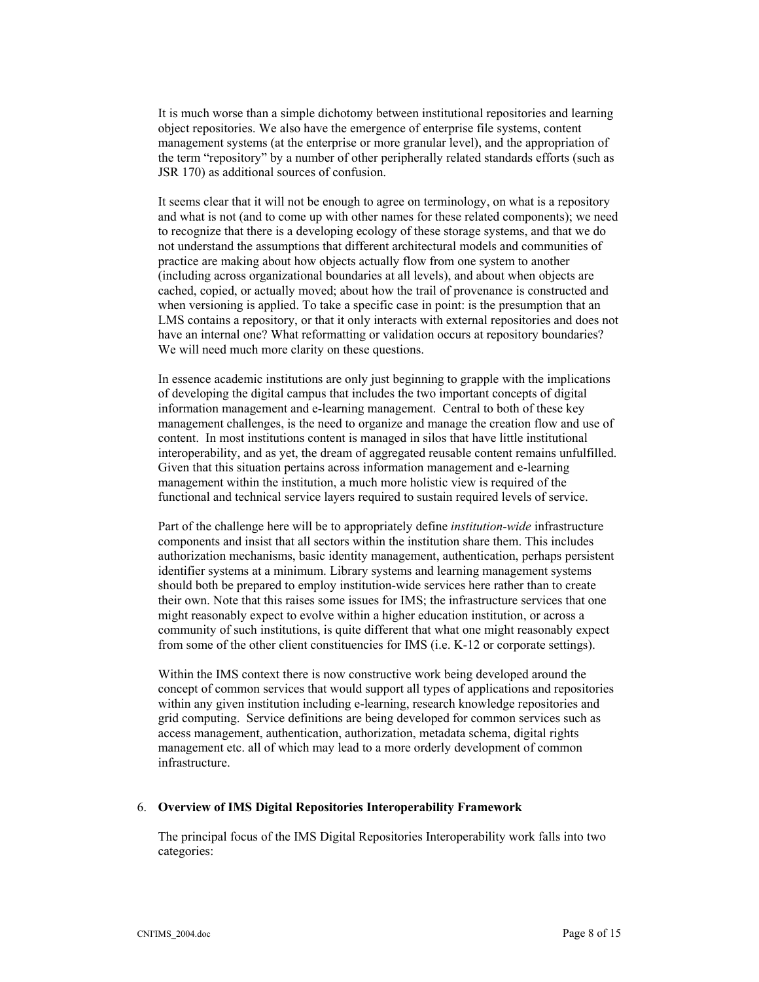It is much worse than a simple dichotomy between institutional repositories and learning object repositories. We also have the emergence of enterprise file systems, content management systems (at the enterprise or more granular level), and the appropriation of the term "repository" by a number of other peripherally related standards efforts (such as JSR 170) as additional sources of confusion.

It seems clear that it will not be enough to agree on terminology, on what is a repository and what is not (and to come up with other names for these related components); we need to recognize that there is a developing ecology of these storage systems, and that we do not understand the assumptions that different architectural models and communities of practice are making about how objects actually flow from one system to another (including across organizational boundaries at all levels), and about when objects are cached, copied, or actually moved; about how the trail of provenance is constructed and when versioning is applied. To take a specific case in point: is the presumption that an LMS contains a repository, or that it only interacts with external repositories and does not have an internal one? What reformatting or validation occurs at repository boundaries? We will need much more clarity on these questions.

In essence academic institutions are only just beginning to grapple with the implications of developing the digital campus that includes the two important concepts of digital information management and e-learning management. Central to both of these key management challenges, is the need to organize and manage the creation flow and use of content. In most institutions content is managed in silos that have little institutional interoperability, and as yet, the dream of aggregated reusable content remains unfulfilled. Given that this situation pertains across information management and e-learning management within the institution, a much more holistic view is required of the functional and technical service layers required to sustain required levels of service.

Part of the challenge here will be to appropriately define *institution-wide* infrastructure components and insist that all sectors within the institution share them. This includes authorization mechanisms, basic identity management, authentication, perhaps persistent identifier systems at a minimum. Library systems and learning management systems should both be prepared to employ institution-wide services here rather than to create their own. Note that this raises some issues for IMS; the infrastructure services that one might reasonably expect to evolve within a higher education institution, or across a community of such institutions, is quite different that what one might reasonably expect from some of the other client constituencies for IMS (i.e. K-12 or corporate settings).

Within the IMS context there is now constructive work being developed around the concept of common services that would support all types of applications and repositories within any given institution including e-learning, research knowledge repositories and grid computing. Service definitions are being developed for common services such as access management, authentication, authorization, metadata schema, digital rights management etc. all of which may lead to a more orderly development of common infrastructure.

#### 6. **Overview of IMS Digital Repositories Interoperability Framework**

The principal focus of the IMS Digital Repositories Interoperability work falls into two categories: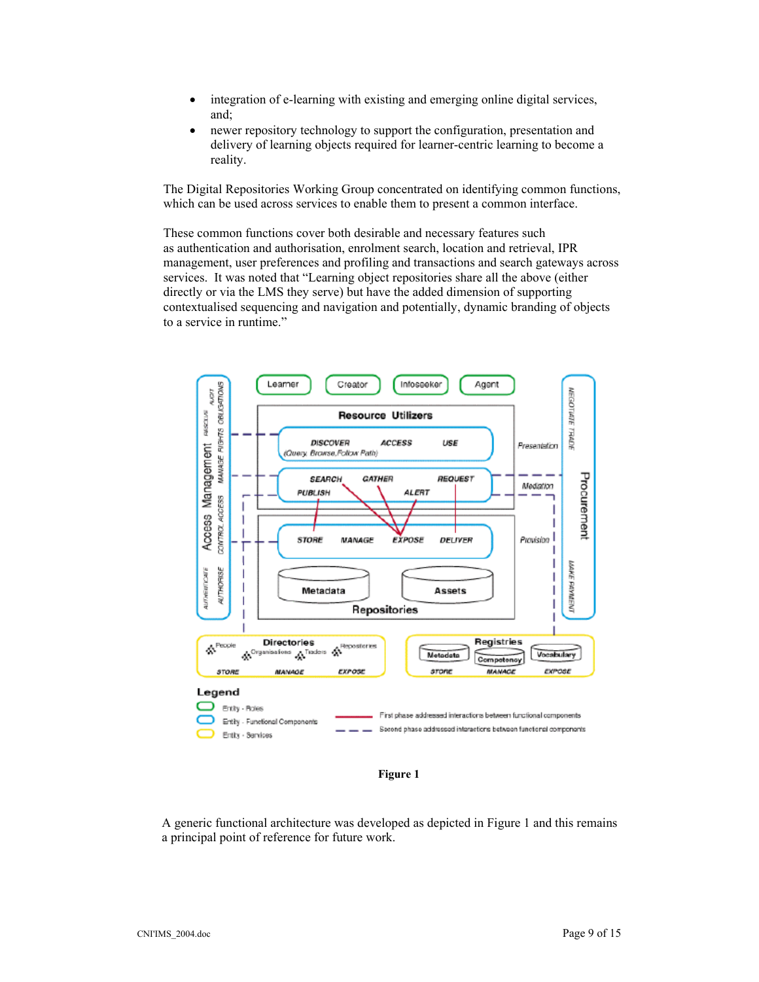- integration of e-learning with existing and emerging online digital services, and;
- newer repository technology to support the configuration, presentation and delivery of learning objects required for learner-centric learning to become a reality.

The Digital Repositories Working Group concentrated on identifying common functions, which can be used across services to enable them to present a common interface.

These common functions cover both desirable and necessary features such as authentication and authorisation, enrolment search, location and retrieval, IPR management, user preferences and profiling and transactions and search gateways across services. It was noted that "Learning object repositories share all the above (either directly or via the LMS they serve) but have the added dimension of supporting contextualised sequencing and navigation and potentially, dynamic branding of objects to a service in runtime."



**Figure 1** 

A generic functional architecture was developed as depicted in Figure 1 and this remains a principal point of reference for future work.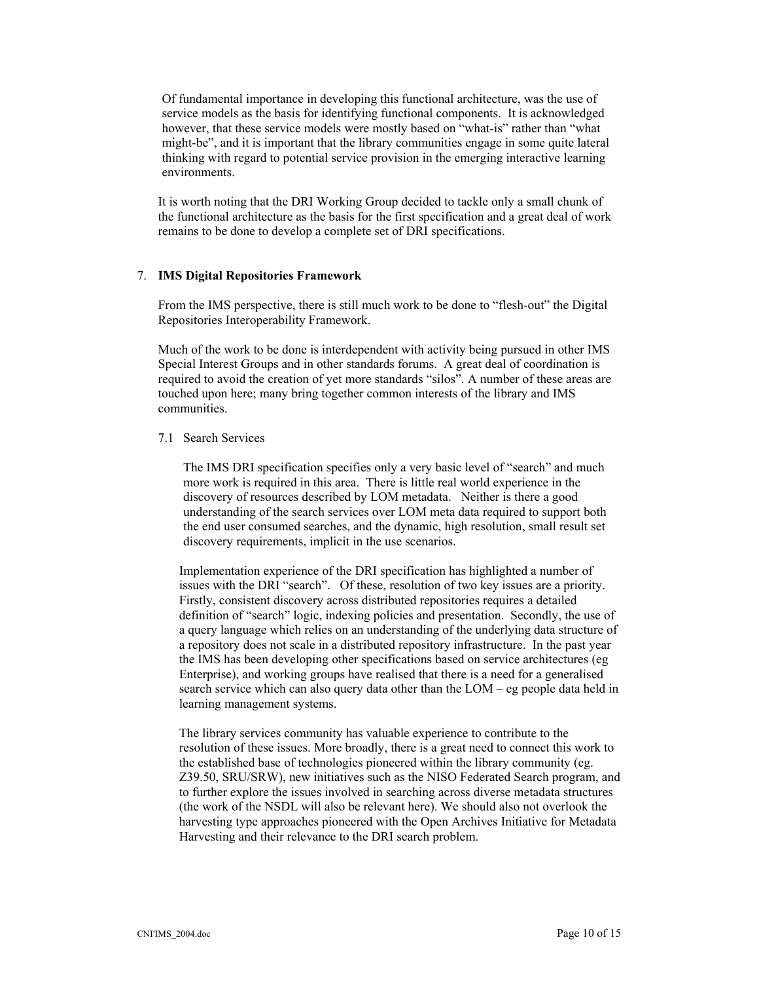Of fundamental importance in developing this functional architecture, was the use of service models as the basis for identifying functional components. It is acknowledged however, that these service models were mostly based on "what-is" rather than "what might-be", and it is important that the library communities engage in some quite lateral thinking with regard to potential service provision in the emerging interactive learning environments.

It is worth noting that the DRI Working Group decided to tackle only a small chunk of the functional architecture as the basis for the first specification and a great deal of work remains to be done to develop a complete set of DRI specifications.

#### 7. **IMS Digital Repositories Framework**

From the IMS perspective, there is still much work to be done to "flesh-out" the Digital Repositories Interoperability Framework.

Much of the work to be done is interdependent with activity being pursued in other IMS Special Interest Groups and in other standards forums. A great deal of coordination is required to avoid the creation of yet more standards "silos". A number of these areas are touched upon here; many bring together common interests of the library and IMS communities.

#### 7.1 Search Services

The IMS DRI specification specifies only a very basic level of "search" and much more work is required in this area. There is little real world experience in the discovery of resources described by LOM metadata. Neither is there a good understanding of the search services over LOM meta data required to support both the end user consumed searches, and the dynamic, high resolution, small result set discovery requirements, implicit in the use scenarios.

Implementation experience of the DRI specification has highlighted a number of issues with the DRI "search". Of these, resolution of two key issues are a priority. Firstly, consistent discovery across distributed repositories requires a detailed definition of "search" logic, indexing policies and presentation. Secondly, the use of a query language which relies on an understanding of the underlying data structure of a repository does not scale in a distributed repository infrastructure. In the past year the IMS has been developing other specifications based on service architectures (eg Enterprise), and working groups have realised that there is a need for a generalised search service which can also query data other than the LOM – eg people data held in learning management systems.

The library services community has valuable experience to contribute to the resolution of these issues. More broadly, there is a great need to connect this work to the established base of technologies pioneered within the library community (eg. Z39.50, SRU/SRW), new initiatives such as the NISO Federated Search program, and to further explore the issues involved in searching across diverse metadata structures (the work of the NSDL will also be relevant here). We should also not overlook the harvesting type approaches pioneered with the Open Archives Initiative for Metadata Harvesting and their relevance to the DRI search problem.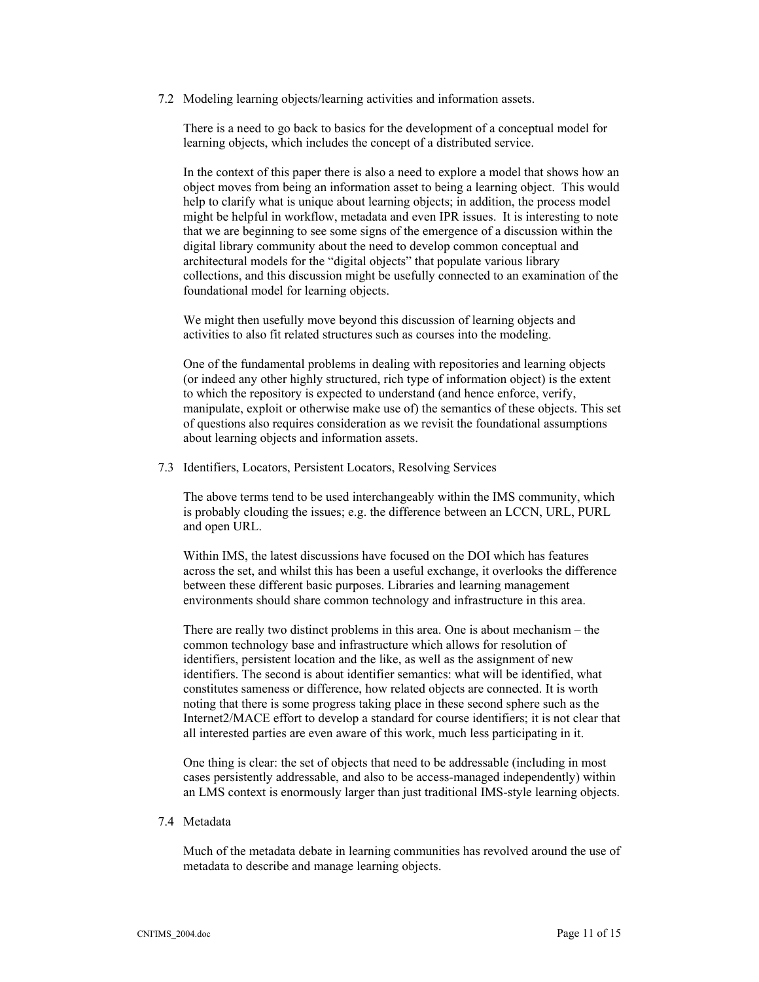7.2 Modeling learning objects/learning activities and information assets.

There is a need to go back to basics for the development of a conceptual model for learning objects, which includes the concept of a distributed service.

In the context of this paper there is also a need to explore a model that shows how an object moves from being an information asset to being a learning object. This would help to clarify what is unique about learning objects; in addition, the process model might be helpful in workflow, metadata and even IPR issues. It is interesting to note that we are beginning to see some signs of the emergence of a discussion within the digital library community about the need to develop common conceptual and architectural models for the "digital objects" that populate various library collections, and this discussion might be usefully connected to an examination of the foundational model for learning objects.

We might then usefully move beyond this discussion of learning objects and activities to also fit related structures such as courses into the modeling.

One of the fundamental problems in dealing with repositories and learning objects (or indeed any other highly structured, rich type of information object) is the extent to which the repository is expected to understand (and hence enforce, verify, manipulate, exploit or otherwise make use of) the semantics of these objects. This set of questions also requires consideration as we revisit the foundational assumptions about learning objects and information assets.

7.3 Identifiers, Locators, Persistent Locators, Resolving Services

The above terms tend to be used interchangeably within the IMS community, which is probably clouding the issues; e.g. the difference between an LCCN, URL, PURL and open URL.

Within IMS, the latest discussions have focused on the DOI which has features across the set, and whilst this has been a useful exchange, it overlooks the difference between these different basic purposes. Libraries and learning management environments should share common technology and infrastructure in this area.

There are really two distinct problems in this area. One is about mechanism – the common technology base and infrastructure which allows for resolution of identifiers, persistent location and the like, as well as the assignment of new identifiers. The second is about identifier semantics: what will be identified, what constitutes sameness or difference, how related objects are connected. It is worth noting that there is some progress taking place in these second sphere such as the Internet2/MACE effort to develop a standard for course identifiers; it is not clear that all interested parties are even aware of this work, much less participating in it.

One thing is clear: the set of objects that need to be addressable (including in most cases persistently addressable, and also to be access-managed independently) within an LMS context is enormously larger than just traditional IMS-style learning objects.

#### 7.4 Metadata

Much of the metadata debate in learning communities has revolved around the use of metadata to describe and manage learning objects.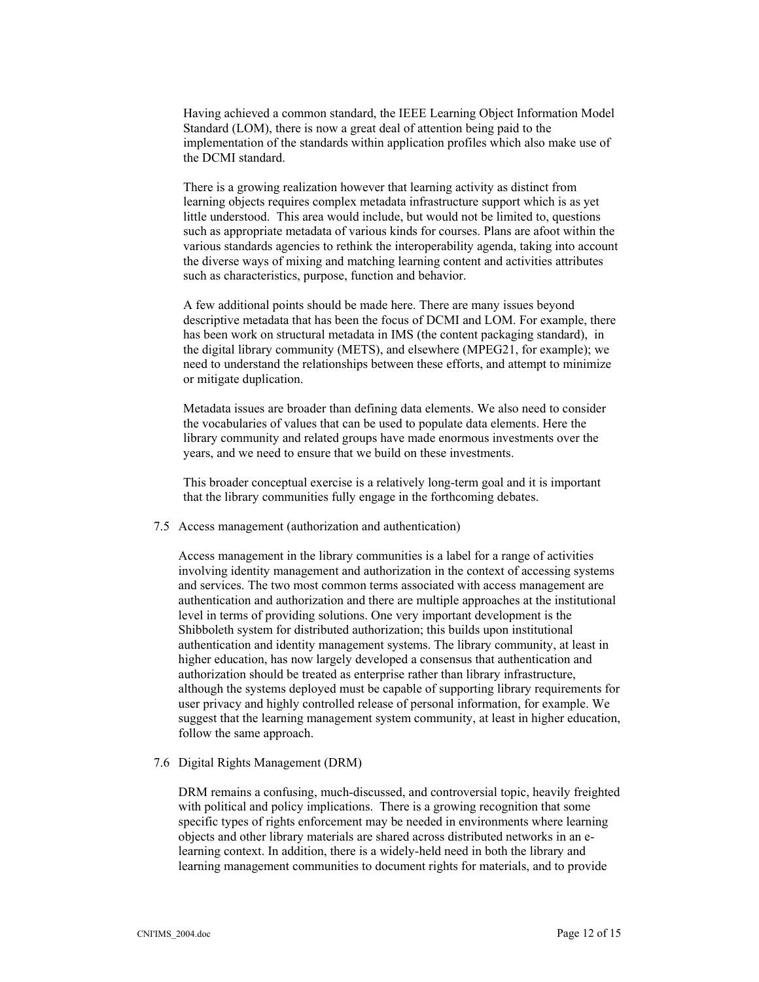Having achieved a common standard, the IEEE Learning Object Information Model Standard (LOM), there is now a great deal of attention being paid to the implementation of the standards within application profiles which also make use of the DCMI standard.

There is a growing realization however that learning activity as distinct from learning objects requires complex metadata infrastructure support which is as yet little understood. This area would include, but would not be limited to, questions such as appropriate metadata of various kinds for courses. Plans are afoot within the various standards agencies to rethink the interoperability agenda, taking into account the diverse ways of mixing and matching learning content and activities attributes such as characteristics, purpose, function and behavior.

A few additional points should be made here. There are many issues beyond descriptive metadata that has been the focus of DCMI and LOM. For example, there has been work on structural metadata in IMS (the content packaging standard), in the digital library community (METS), and elsewhere (MPEG21, for example); we need to understand the relationships between these efforts, and attempt to minimize or mitigate duplication.

Metadata issues are broader than defining data elements. We also need to consider the vocabularies of values that can be used to populate data elements. Here the library community and related groups have made enormous investments over the years, and we need to ensure that we build on these investments.

This broader conceptual exercise is a relatively long-term goal and it is important that the library communities fully engage in the forthcoming debates.

# 7.5 Access management (authorization and authentication)

Access management in the library communities is a label for a range of activities involving identity management and authorization in the context of accessing systems and services. The two most common terms associated with access management are authentication and authorization and there are multiple approaches at the institutional level in terms of providing solutions. One very important development is the Shibboleth system for distributed authorization; this builds upon institutional authentication and identity management systems. The library community, at least in higher education, has now largely developed a consensus that authentication and authorization should be treated as enterprise rather than library infrastructure, although the systems deployed must be capable of supporting library requirements for user privacy and highly controlled release of personal information, for example. We suggest that the learning management system community, at least in higher education, follow the same approach.

#### 7.6 Digital Rights Management (DRM)

DRM remains a confusing, much-discussed, and controversial topic, heavily freighted with political and policy implications. There is a growing recognition that some specific types of rights enforcement may be needed in environments where learning objects and other library materials are shared across distributed networks in an elearning context. In addition, there is a widely-held need in both the library and learning management communities to document rights for materials, and to provide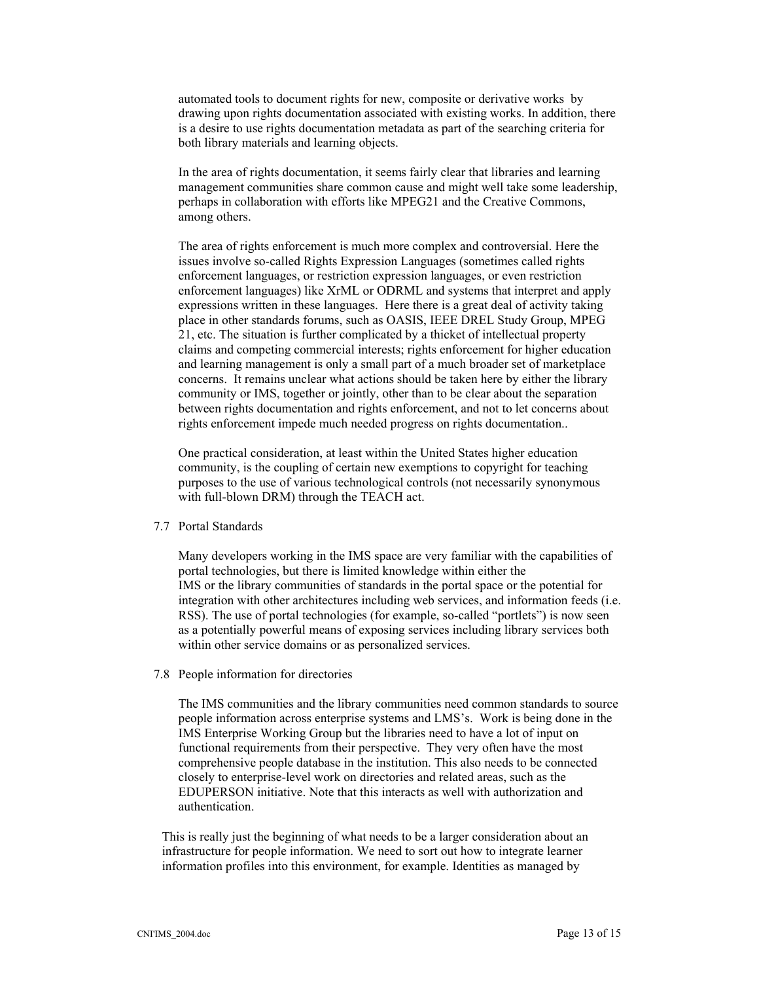automated tools to document rights for new, composite or derivative works by drawing upon rights documentation associated with existing works. In addition, there is a desire to use rights documentation metadata as part of the searching criteria for both library materials and learning objects.

In the area of rights documentation, it seems fairly clear that libraries and learning management communities share common cause and might well take some leadership, perhaps in collaboration with efforts like MPEG21 and the Creative Commons, among others.

The area of rights enforcement is much more complex and controversial. Here the issues involve so-called Rights Expression Languages (sometimes called rights enforcement languages, or restriction expression languages, or even restriction enforcement languages) like XrML or ODRML and systems that interpret and apply expressions written in these languages. Here there is a great deal of activity taking place in other standards forums, such as OASIS, IEEE DREL Study Group, MPEG 21, etc. The situation is further complicated by a thicket of intellectual property claims and competing commercial interests; rights enforcement for higher education and learning management is only a small part of a much broader set of marketplace concerns. It remains unclear what actions should be taken here by either the library community or IMS, together or jointly, other than to be clear about the separation between rights documentation and rights enforcement, and not to let concerns about rights enforcement impede much needed progress on rights documentation..

One practical consideration, at least within the United States higher education community, is the coupling of certain new exemptions to copyright for teaching purposes to the use of various technological controls (not necessarily synonymous with full-blown DRM) through the TEACH act.

#### 7.7 Portal Standards

 Many developers working in the IMS space are very familiar with the capabilities of portal technologies, but there is limited knowledge within either the IMS or the library communities of standards in the portal space or the potential for integration with other architectures including web services, and information feeds (i.e. RSS). The use of portal technologies (for example, so-called "portlets") is now seen as a potentially powerful means of exposing services including library services both within other service domains or as personalized services.

7.8 People information for directories

The IMS communities and the library communities need common standards to source people information across enterprise systems and LMS's. Work is being done in the IMS Enterprise Working Group but the libraries need to have a lot of input on functional requirements from their perspective. They very often have the most comprehensive people database in the institution. This also needs to be connected closely to enterprise-level work on directories and related areas, such as the EDUPERSON initiative. Note that this interacts as well with authorization and authentication.

This is really just the beginning of what needs to be a larger consideration about an infrastructure for people information. We need to sort out how to integrate learner information profiles into this environment, for example. Identities as managed by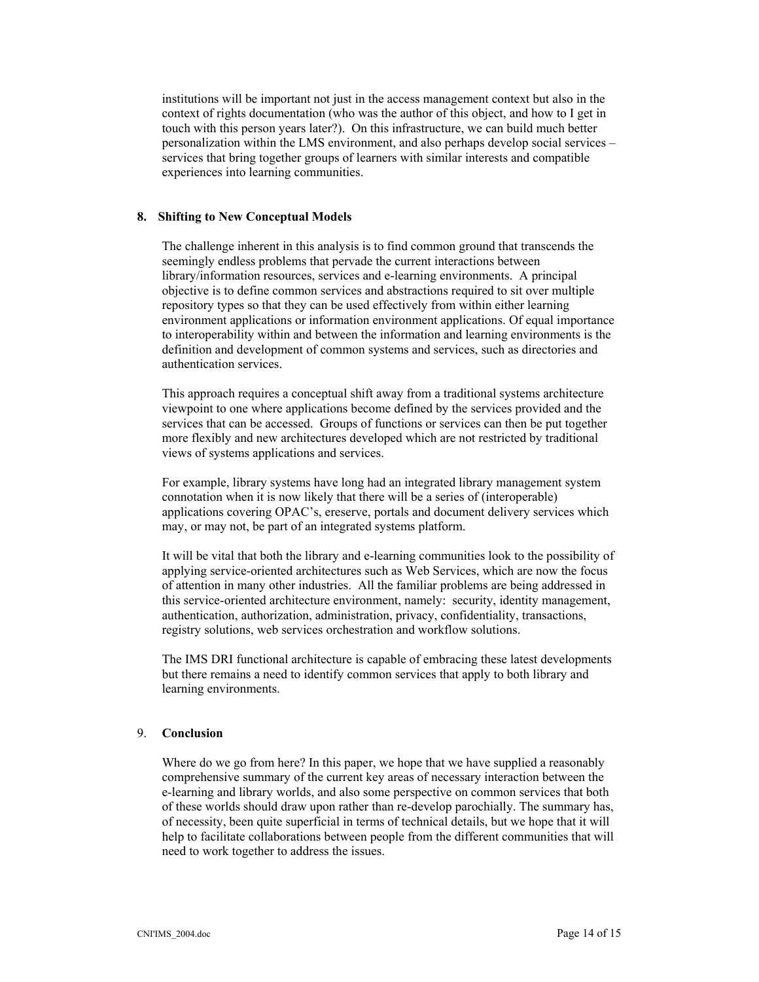institutions will be important not just in the access management context but also in the context of rights documentation (who was the author of this object, and how to I get in touch with this person years later?). On this infrastructure, we can build much better personalization within the LMS environment, and also perhaps develop social services – services that bring together groups of learners with similar interests and compatible experiences into learning communities.

#### **8. Shifting to New Conceptual Models**

The challenge inherent in this analysis is to find common ground that transcends the seemingly endless problems that pervade the current interactions between library/information resources, services and e-learning environments. A principal objective is to define common services and abstractions required to sit over multiple repository types so that they can be used effectively from within either learning environment applications or information environment applications. Of equal importance to interoperability within and between the information and learning environments is the definition and development of common systems and services, such as directories and authentication services.

This approach requires a conceptual shift away from a traditional systems architecture viewpoint to one where applications become defined by the services provided and the services that can be accessed. Groups of functions or services can then be put together more flexibly and new architectures developed which are not restricted by traditional views of systems applications and services.

For example, library systems have long had an integrated library management system connotation when it is now likely that there will be a series of (interoperable) applications covering OPAC's, ereserve, portals and document delivery services which may, or may not, be part of an integrated systems platform.

It will be vital that both the library and e-learning communities look to the possibility of applying service-oriented architectures such as Web Services, which are now the focus of attention in many other industries. All the familiar problems are being addressed in this service-oriented architecture environment, namely: security, identity management, authentication, authorization, administration, privacy, confidentiality, transactions, registry solutions, web services orchestration and workflow solutions.

The IMS DRI functional architecture is capable of embracing these latest developments but there remains a need to identify common services that apply to both library and learning environments.

# 9. **Conclusion**

Where do we go from here? In this paper, we hope that we have supplied a reasonably comprehensive summary of the current key areas of necessary interaction between the e-learning and library worlds, and also some perspective on common services that both of these worlds should draw upon rather than re-develop parochially. The summary has, of necessity, been quite superficial in terms of technical details, but we hope that it will help to facilitate collaborations between people from the different communities that will need to work together to address the issues.